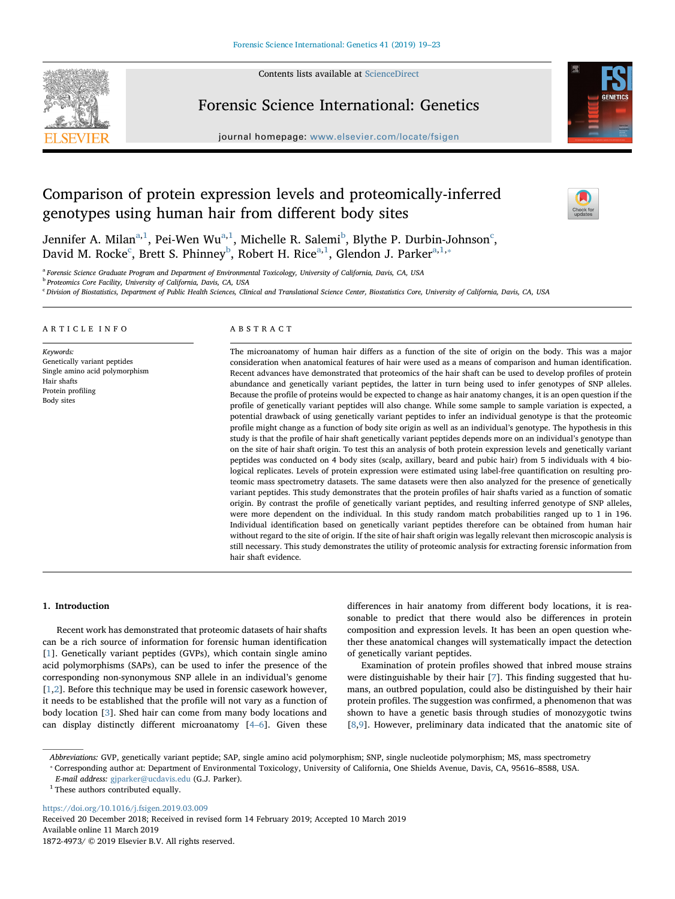

Contents lists available at [ScienceDirect](http://www.sciencedirect.com/science/journal/18724973)

## Forensic Science International: Genetics

journal homepage: [www.elsevier.com/locate/fsigen](https://www.elsevier.com/locate/fsigen)



# Comparison of protein expression levels and proteomically-inferred genotypes using human hair from different body sites



Jennifer A. Mil[a](#page-0-0)n $^{\mathrm{a},1}$  $^{\mathrm{a},1}$  $^{\mathrm{a},1}$ , Pei-Wen Wu $^{\mathrm{a},1}$  $^{\mathrm{a},1}$  $^{\mathrm{a},1}$ , Mi[c](#page-0-3)helle R. Salemi $^{\mathrm{b}}$  $^{\mathrm{b}}$  $^{\mathrm{b}}$ , Blythe P. Durbin-Johnson $^{\mathrm{c}}$ , David M. Ro[c](#page-0-3)ke<sup>c</sup>, Brett S. Phinney<sup>[b](#page-0-2)</sup>, Robert H. Rice<sup>[a,](#page-0-0)[1](#page-0-1)</sup>, Glendon J. Parker<sup>a,1,\*</sup>

<span id="page-0-0"></span><sup>a</sup> Forensic Science Graduate Program and Department of Environmental Toxicology, University of California, Davis, CA, USA

<span id="page-0-2"></span><sup>b</sup> Proteomics Core Facility, University of California, Davis, CA, USA

<span id="page-0-3"></span><sup>c</sup> Division of Biostatistics, Department of Public Health Sciences, Clinical and Translational Science Center, Biostatistics Core, University of California, Davis, CA, USA

#### ARTICLE INFO

Keywords: Genetically variant peptides Single amino acid polymorphism Hair shafts Protein profiling Body sites

#### ABSTRACT

The microanatomy of human hair differs as a function of the site of origin on the body. This was a major consideration when anatomical features of hair were used as a means of comparison and human identification. Recent advances have demonstrated that proteomics of the hair shaft can be used to develop profiles of protein abundance and genetically variant peptides, the latter in turn being used to infer genotypes of SNP alleles. Because the profile of proteins would be expected to change as hair anatomy changes, it is an open question if the profile of genetically variant peptides will also change. While some sample to sample variation is expected, a potential drawback of using genetically variant peptides to infer an individual genotype is that the proteomic profile might change as a function of body site origin as well as an individual's genotype. The hypothesis in this study is that the profile of hair shaft genetically variant peptides depends more on an individual's genotype than on the site of hair shaft origin. To test this an analysis of both protein expression levels and genetically variant peptides was conducted on 4 body sites (scalp, axillary, beard and pubic hair) from 5 individuals with 4 biological replicates. Levels of protein expression were estimated using label-free quantification on resulting proteomic mass spectrometry datasets. The same datasets were then also analyzed for the presence of genetically variant peptides. This study demonstrates that the protein profiles of hair shafts varied as a function of somatic origin. By contrast the profile of genetically variant peptides, and resulting inferred genotype of SNP alleles, were more dependent on the individual. In this study random match probabilities ranged up to 1 in 196. Individual identification based on genetically variant peptides therefore can be obtained from human hair without regard to the site of origin. If the site of hair shaft origin was legally relevant then microscopic analysis is still necessary. This study demonstrates the utility of proteomic analysis for extracting forensic information from hair shaft evidence.

## 1. Introduction

Recent work has demonstrated that proteomic datasets of hair shafts can be a rich source of information for forensic human identification [[1](#page-4-0)]. Genetically variant peptides (GVPs), which contain single amino acid polymorphisms (SAPs), can be used to infer the presence of the corresponding non-synonymous SNP allele in an individual's genome [[1](#page-4-0),[2](#page-4-1)]. Before this technique may be used in forensic casework however, it needs to be established that the profile will not vary as a function of body location [[3](#page-4-2)]. Shed hair can come from many body locations and can display distinctly different microanatomy [\[4](#page-4-3)–6]. Given these differences in hair anatomy from different body locations, it is reasonable to predict that there would also be differences in protein composition and expression levels. It has been an open question whether these anatomical changes will systematically impact the detection of genetically variant peptides.

Examination of protein profiles showed that inbred mouse strains were distinguishable by their hair [[7](#page-4-4)]. This finding suggested that humans, an outbred population, could also be distinguished by their hair protein profiles. The suggestion was confirmed, a phenomenon that was shown to have a genetic basis through studies of monozygotic twins [[8](#page-4-5),[9](#page-4-6)]. However, preliminary data indicated that the anatomic site of

Abbreviations: GVP, genetically variant peptide; SAP, single amino acid polymorphism; SNP, single nucleotide polymorphism; MS, mass spectrometry

<span id="page-0-4"></span>⁎ Corresponding author at: Department of Environmental Toxicology, University of California, One Shields Avenue, Davis, CA, 95616–8588, USA.

E-mail address: [gjparker@ucdavis.edu](mailto:gjparker@ucdavis.edu) (G.J. Parker).

<span id="page-0-1"></span> $^{\rm 1}$  These authors contributed equally.

<https://doi.org/10.1016/j.fsigen.2019.03.009> Received 20 December 2018; Received in revised form 14 February 2019; Accepted 10 March 2019 Available online 11 March 2019 1872-4973/ © 2019 Elsevier B.V. All rights reserved.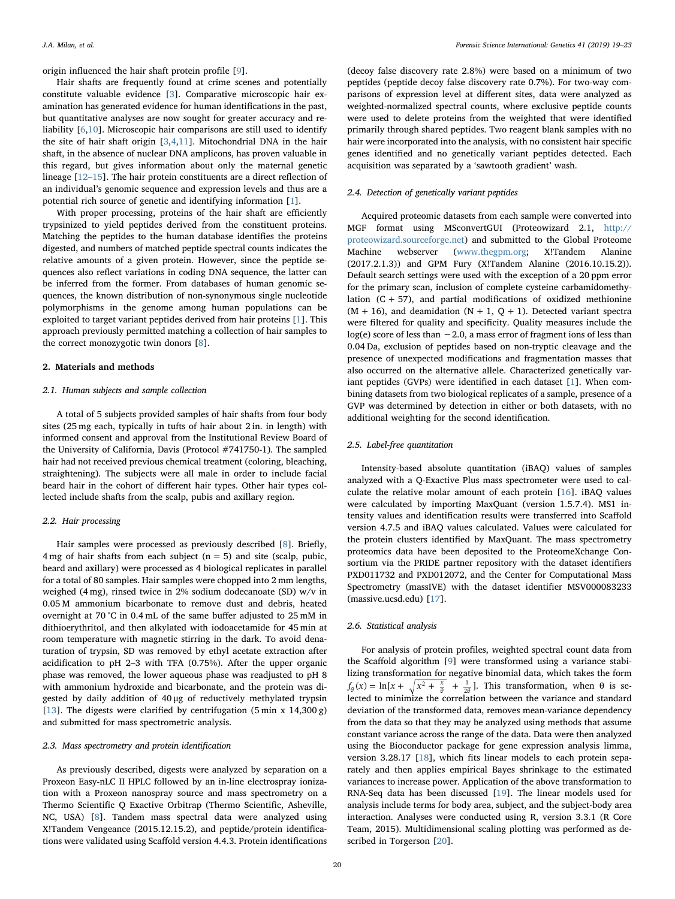origin influenced the hair shaft protein profile [[9](#page-4-6)].

Hair shafts are frequently found at crime scenes and potentially constitute valuable evidence [[3](#page-4-2)]. Comparative microscopic hair examination has generated evidence for human identifications in the past, but quantitative analyses are now sought for greater accuracy and reliability [[6,](#page-4-7)[10\]](#page-4-8). Microscopic hair comparisons are still used to identify the site of hair shaft origin [\[3,](#page-4-2)[4,](#page-4-3)[11\]](#page-4-9). Mitochondrial DNA in the hair shaft, in the absence of nuclear DNA amplicons, has proven valuable in this regard, but gives information about only the maternal genetic lineage [12–[15\]](#page-4-10). The hair protein constituents are a direct reflection of an individual's genomic sequence and expression levels and thus are a potential rich source of genetic and identifying information [[1](#page-4-0)].

With proper processing, proteins of the hair shaft are efficiently trypsinized to yield peptides derived from the constituent proteins. Matching the peptides to the human database identifies the proteins digested, and numbers of matched peptide spectral counts indicates the relative amounts of a given protein. However, since the peptide sequences also reflect variations in coding DNA sequence, the latter can be inferred from the former. From databases of human genomic sequences, the known distribution of non-synonymous single nucleotide polymorphisms in the genome among human populations can be exploited to target variant peptides derived from hair proteins [\[1](#page-4-0)]. This approach previously permitted matching a collection of hair samples to the correct monozygotic twin donors [\[8\]](#page-4-5).

#### 2. Materials and methods

#### 2.1. Human subjects and sample collection

A total of 5 subjects provided samples of hair shafts from four body sites (25 mg each, typically in tufts of hair about 2 in. in length) with informed consent and approval from the Institutional Review Board of the University of California, Davis (Protocol #741750-1). The sampled hair had not received previous chemical treatment (coloring, bleaching, straightening). The subjects were all male in order to include facial beard hair in the cohort of different hair types. Other hair types collected include shafts from the scalp, pubis and axillary region.

## 2.2. Hair processing

Hair samples were processed as previously described [[8\]](#page-4-5). Briefly, 4 mg of hair shafts from each subject  $(n = 5)$  and site (scalp, pubic, beard and axillary) were processed as 4 biological replicates in parallel for a total of 80 samples. Hair samples were chopped into 2 mm lengths, weighed (4 mg), rinsed twice in 2% sodium dodecanoate (SD) w/v in 0.05 M ammonium bicarbonate to remove dust and debris, heated overnight at 70 °C in 0.4 mL of the same buffer adjusted to 25 mM in dithioerythritol, and then alkylated with iodoacetamide for 45 min at room temperature with magnetic stirring in the dark. To avoid denaturation of trypsin, SD was removed by ethyl acetate extraction after acidification to pH 2–3 with TFA (0.75%). After the upper organic phase was removed, the lower aqueous phase was readjusted to pH 8 with ammonium hydroxide and bicarbonate, and the protein was digested by daily addition of 40 μg of reductively methylated trypsin [[13\]](#page-4-11). The digests were clarified by centrifugation  $(5 \text{ min } x\ 14,300 \text{ g})$ and submitted for mass spectrometric analysis.

## 2.3. Mass spectrometry and protein identification

As previously described, digests were analyzed by separation on a Proxeon Easy-nLC II HPLC followed by an in-line electrospray ionization with a Proxeon nanospray source and mass spectrometry on a Thermo Scientific Q Exactive Orbitrap (Thermo Scientific, Asheville, NC, USA) [\[8\]](#page-4-5). Tandem mass spectral data were analyzed using X!Tandem Vengeance (2015.12.15.2), and peptide/protein identifications were validated using Scaffold version 4.4.3. Protein identifications

(decoy false discovery rate 2.8%) were based on a minimum of two peptides (peptide decoy false discovery rate 0.7%). For two-way comparisons of expression level at different sites, data were analyzed as weighted-normalized spectral counts, where exclusive peptide counts were used to delete proteins from the weighted that were identified primarily through shared peptides. Two reagent blank samples with no hair were incorporated into the analysis, with no consistent hair specific genes identified and no genetically variant peptides detected. Each acquisition was separated by a 'sawtooth gradient' wash.

## 2.4. Detection of genetically variant peptides

Acquired proteomic datasets from each sample were converted into MGF format using MSconvertGUI (Proteowizard 2.1, [http://](http://proteowizard.sourceforge.net) [proteowizard.sourceforge.net](http://proteowizard.sourceforge.net)) and submitted to the Global Proteome Machine webserver [\(www.thegpm.org;](http://www.thegpm.org) X!Tandem Alanine (2017.2.1.3)) and GPM Fury (X!Tandem Alanine (2016.10.15.2)). Default search settings were used with the exception of a 20 ppm error for the primary scan, inclusion of complete cysteine carbamidomethylation  $(C + 57)$ , and partial modifications of oxidized methionine  $(M + 16)$ , and deamidation  $(N + 1, Q + 1)$ . Detected variant spectra were filtered for quality and specificity. Quality measures include the  $log(e)$  score of less than  $-2.0$ , a mass error of fragment ions of less than 0.04 Da, exclusion of peptides based on non-tryptic cleavage and the presence of unexpected modifications and fragmentation masses that also occurred on the alternative allele. Characterized genetically variant peptides (GVPs) were identified in each dataset [\[1\]](#page-4-0). When combining datasets from two biological replicates of a sample, presence of a GVP was determined by detection in either or both datasets, with no additional weighting for the second identification.

## 2.5. Label-free quantitation

Intensity-based absolute quantitation (iBAQ) values of samples analyzed with a Q-Exactive Plus mass spectrometer were used to calculate the relative molar amount of each protein [[16\]](#page-4-12). iBAQ values were calculated by importing MaxQuant (version 1.5.7.4). MS1 intensity values and identification results were transferred into Scaffold version 4.7.5 and iBAQ values calculated. Values were calculated for the protein clusters identified by MaxQuant. The mass spectrometry proteomics data have been deposited to the ProteomeXchange Consortium via the PRIDE partner repository with the dataset identifiers PXD011732 and PXD012072, and the Center for Computational Mass Spectrometry (massIVE) with the dataset identifier MSV000083233 (massive.ucsd.edu) [[17\]](#page-4-13).

## 2.6. Statistical analysis

For analysis of protein profiles, weighted spectral count data from the Scaffold algorithm [\[9\]](#page-4-6) were transformed using a variance stabilizing transformation for negative binomial data, which takes the form  $f_{\theta}(x) = \ln[x + \sqrt{x^2 + \frac{x}{\theta}} + \frac{1}{2\theta}].$  This transformation, when  $\theta$  is selected to minimize the correlation between the variance and standard deviation of the transformed data, removes mean-variance dependency from the data so that they may be analyzed using methods that assume constant variance across the range of the data. Data were then analyzed using the Bioconductor package for gene expression analysis limma, version 3.28.17 [[18\]](#page-4-14), which fits linear models to each protein separately and then applies empirical Bayes shrinkage to the estimated variances to increase power. Application of the above transformation to RNA-Seq data has been discussed [\[19](#page-4-15)]. The linear models used for analysis include terms for body area, subject, and the subject-body area interaction. Analyses were conducted using R, version 3.3.1 (R Core Team, 2015). Multidimensional scaling plotting was performed as described in Torgerson [[20\]](#page-4-16).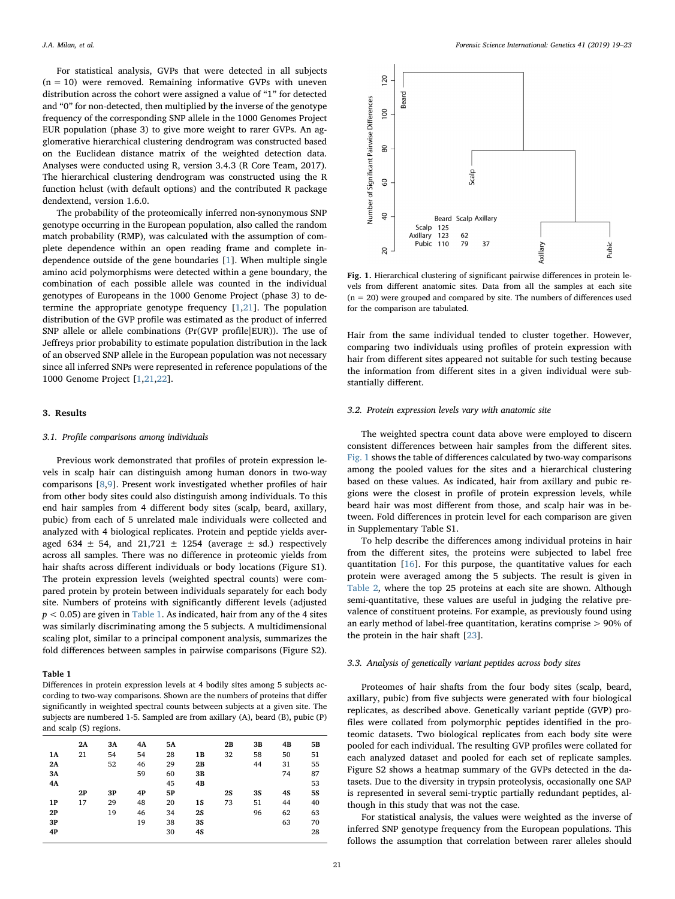For statistical analysis, GVPs that were detected in all subjects  $(n = 10)$  were removed. Remaining informative GVPs with uneven distribution across the cohort were assigned a value of "1" for detected and "0" for non-detected, then multiplied by the inverse of the genotype frequency of the corresponding SNP allele in the 1000 Genomes Project EUR population (phase 3) to give more weight to rarer GVPs. An agglomerative hierarchical clustering dendrogram was constructed based on the Euclidean distance matrix of the weighted detection data. Analyses were conducted using R, version 3.4.3 (R Core Team, 2017). The hierarchical clustering dendrogram was constructed using the R function hclust (with default options) and the contributed R package dendextend, version 1.6.0.

The probability of the proteomically inferred non-synonymous SNP genotype occurring in the European population, also called the random match probability (RMP), was calculated with the assumption of complete dependence within an open reading frame and complete independence outside of the gene boundaries [\[1\]](#page-4-0). When multiple single amino acid polymorphisms were detected within a gene boundary, the combination of each possible allele was counted in the individual genotypes of Europeans in the 1000 Genome Project (phase 3) to determine the appropriate genotype frequency  $[1,21]$  $[1,21]$  $[1,21]$  $[1,21]$ . The population distribution of the GVP profile was estimated as the product of inferred SNP allele or allele combinations (Pr(GVP profile|EUR)). The use of Jeffreys prior probability to estimate population distribution in the lack of an observed SNP allele in the European population was not necessary since all inferred SNPs were represented in reference populations of the 1000 Genome Project [[1](#page-4-0)[,21](#page-4-17),[22\]](#page-4-18).

#### 3. Results

#### 3.1. Profile comparisons among individuals

Previous work demonstrated that profiles of protein expression levels in scalp hair can distinguish among human donors in two-way comparisons [\[8,](#page-4-5)[9](#page-4-6)]. Present work investigated whether profiles of hair from other body sites could also distinguish among individuals. To this end hair samples from 4 different body sites (scalp, beard, axillary, pubic) from each of 5 unrelated male individuals were collected and analyzed with 4 biological replicates. Protein and peptide yields averaged 634  $\pm$  54, and 21,721  $\pm$  1254 (average  $\pm$  sd.) respectively across all samples. There was no difference in proteomic yields from hair shafts across different individuals or body locations (Figure S1). The protein expression levels (weighted spectral counts) were compared protein by protein between individuals separately for each body site. Numbers of proteins with significantly different levels (adjusted  $p < 0.05$ ) are given in [Table 1.](#page-2-0) As indicated, hair from any of the 4 sites was similarly discriminating among the 5 subjects. A multidimensional scaling plot, similar to a principal component analysis, summarizes the fold differences between samples in pairwise comparisons (Figure S2).

## <span id="page-2-0"></span>Table 1

Differences in protein expression levels at 4 bodily sites among 5 subjects according to two-way comparisons. Shown are the numbers of proteins that differ significantly in weighted spectral counts between subjects at a given site. The subjects are numbered 1-5. Sampled are from axillary (A), beard (B), pubic (P) and scalp (S) regions.

| 1A<br>2A<br>3A<br>4A | 2A<br>21<br>2P | 3A<br>54<br>52<br>3P | 4Α<br>54<br>46<br>59<br>4P | <b>5A</b><br>28<br>29<br>60<br>45<br>5P | 1В<br>2B<br>3B<br>4B | 2В<br>32<br>2S | 3B<br>58<br>44<br>3S | 4B<br>50<br>31<br>74<br>4S | 5В<br>51<br>55<br>87<br>53<br><b>5S</b> |
|----------------------|----------------|----------------------|----------------------------|-----------------------------------------|----------------------|----------------|----------------------|----------------------------|-----------------------------------------|
| 1P                   | 17             | 29                   | 48                         | 20                                      | <b>1S</b>            | 73             | 51                   | 44                         | 40                                      |
| 2P                   |                | 19                   | 46                         | 34                                      | 2S                   |                | 96                   | 62                         | 63                                      |
| 3P                   |                |                      | 19                         | 38                                      | 3S                   |                |                      | 63                         | 70                                      |
| 4P                   |                |                      |                            | 30                                      | 4S                   |                |                      |                            | 28                                      |

<span id="page-2-1"></span>

Fig. 1. Hierarchical clustering of significant pairwise differences in protein levels from different anatomic sites. Data from all the samples at each site  $(n = 20)$  were grouped and compared by site. The numbers of differences used for the comparison are tabulated.

Hair from the same individual tended to cluster together. However, comparing two individuals using profiles of protein expression with hair from different sites appeared not suitable for such testing because the information from different sites in a given individual were substantially different.

## 3.2. Protein expression levels vary with anatomic site

The weighted spectra count data above were employed to discern consistent differences between hair samples from the different sites. [Fig. 1](#page-2-1) shows the table of differences calculated by two-way comparisons among the pooled values for the sites and a hierarchical clustering based on these values. As indicated, hair from axillary and pubic regions were the closest in profile of protein expression levels, while beard hair was most different from those, and scalp hair was in between. Fold differences in protein level for each comparison are given in Supplementary Table S1.

To help describe the differences among individual proteins in hair from the different sites, the proteins were subjected to label free quantitation [[16\]](#page-4-12). For this purpose, the quantitative values for each protein were averaged among the 5 subjects. The result is given in [Table 2,](#page-3-0) where the top 25 proteins at each site are shown. Although semi-quantitative, these values are useful in judging the relative prevalence of constituent proteins. For example, as previously found using an early method of label-free quantitation, keratins comprise > 90% of the protein in the hair shaft [[23\]](#page-4-19).

## 3.3. Analysis of genetically variant peptides across body sites

Proteomes of hair shafts from the four body sites (scalp, beard, axillary, pubic) from five subjects were generated with four biological replicates, as described above. Genetically variant peptide (GVP) profiles were collated from polymorphic peptides identified in the proteomic datasets. Two biological replicates from each body site were pooled for each individual. The resulting GVP profiles were collated for each analyzed dataset and pooled for each set of replicate samples. Figure S2 shows a heatmap summary of the GVPs detected in the datasets. Due to the diversity in trypsin proteolysis, occasionally one SAP is represented in several semi-tryptic partially redundant peptides, although in this study that was not the case.

For statistical analysis, the values were weighted as the inverse of inferred SNP genotype frequency from the European populations. This follows the assumption that correlation between rarer alleles should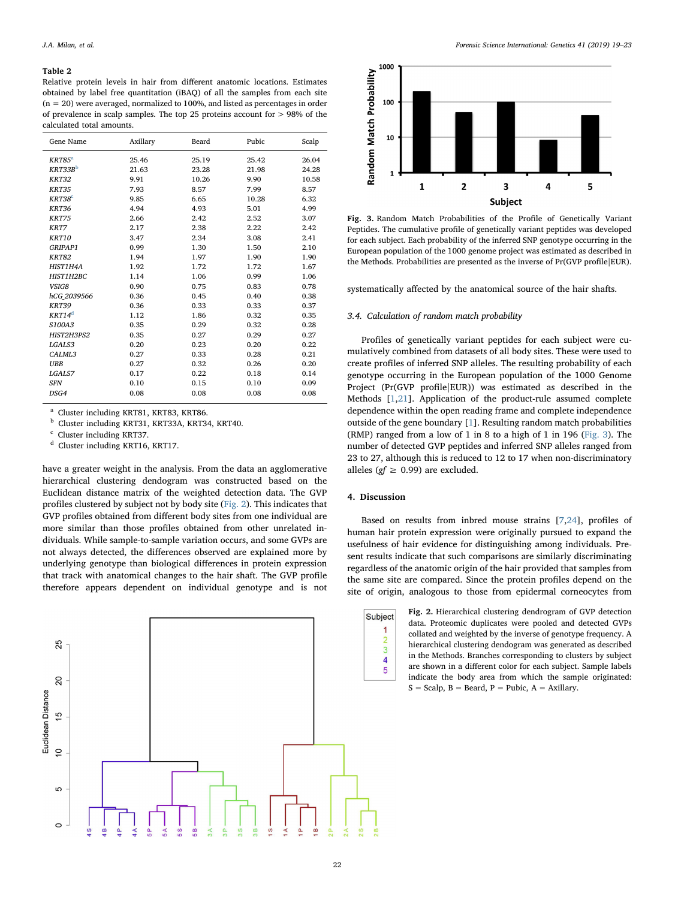#### <span id="page-3-0"></span>Table 2

Relative protein levels in hair from different anatomic locations. Estimates obtained by label free quantitation (iBAQ) of all the samples from each site  $(n = 20)$  were averaged, normalized to 100%, and listed as percentages in order of prevalence in scalp samples. The top 25 proteins account for > 98% of the calculated total amounts.

| Gene Name           | Axillary | Beard | Pubic | Scalp |
|---------------------|----------|-------|-------|-------|
| $KRT85^a$           | 25.46    | 25.19 | 25.42 | 26.04 |
| KRT33B <sup>b</sup> | 21.63    | 23.28 | 21.98 | 24.28 |
| <b>KRT32</b>        | 9.91     | 10.26 | 9.90  | 10.58 |
| <b>KRT35</b>        | 7.93     | 8.57  | 7.99  | 8.57  |
| KRT38 <sup>c</sup>  | 9.85     | 6.65  | 10.28 | 6.32  |
| KRT36               | 4.94     | 4.93  | 5.01  | 4.99  |
| <b>KRT75</b>        | 2.66     | 2.42  | 2.52  | 3.07  |
| KRT7                | 2.17     | 2.38  | 2.22  | 2.42  |
| KRT10               | 3.47     | 2.34  | 3.08  | 2.41  |
| GRIPAP1             | 0.99     | 1.30  | 1.50  | 2.10  |
| <b>KRT82</b>        | 1.94     | 1.97  | 1.90  | 1.90  |
| HIST1H4A            | 1.92     | 1.72  | 1.72  | 1.67  |
| <b>HIST1H2BC</b>    | 1.14     | 1.06  | 0.99  | 1.06  |
| VSIG8               | 0.90     | 0.75  | 0.83  | 0.78  |
| hCG 2039566         | 0.36     | 0.45  | 0.40  | 0.38  |
| <b>KRT39</b>        | 0.36     | 0.33  | 0.33  | 0.37  |
| KRT14 <sup>d</sup>  | 1.12     | 1.86  | 0.32  | 0.35  |
| S100A3              | 0.35     | 0.29  | 0.32  | 0.28  |
| HIST2H3PS2          | 0.35     | 0.27  | 0.29  | 0.27  |
| LGALS3              | 0.20     | 0.23  | 0.20  | 0.22  |
| CALML3              | 0.27     | 0.33  | 0.28  | 0.21  |
| <b>UBB</b>          | 0.27     | 0.32  | 0.26  | 0.20  |
| LGALS7              | 0.17     | 0.22  | 0.18  | 0.14  |
| <b>SFN</b>          | 0.10     | 0.15  | 0.10  | 0.09  |
| DSG4                | 0.08     | 0.08  | 0.08  | 0.08  |

<span id="page-3-3"></span><sup>a</sup> Cluster including KRT81, KRT83, KRT86.<br>b Cluster including KBT91, KBT93A, KBT9

<span id="page-3-4"></span>b Cluster including KRT31, KRT33A, KRT34, KRT40.

<span id="page-3-5"></span>Cluster including KRT37.

<span id="page-3-6"></span><sup>d</sup> Cluster including KRT16, KRT17.

have a greater weight in the analysis. From the data an agglomerative hierarchical clustering dendogram was constructed based on the Euclidean distance matrix of the weighted detection data. The GVP profiles clustered by subject not by body site ([Fig. 2](#page-3-1)). This indicates that GVP profiles obtained from different body sites from one individual are more similar than those profiles obtained from other unrelated individuals. While sample-to-sample variation occurs, and some GVPs are not always detected, the differences observed are explained more by underlying genotype than biological differences in protein expression that track with anatomical changes to the hair shaft. The GVP profile therefore appears dependent on individual genotype and is not

<span id="page-3-1"></span>

<span id="page-3-2"></span>

Fig. 3. Random Match Probabilities of the Profile of Genetically Variant Peptides. The cumulative profile of genetically variant peptides was developed for each subject. Each probability of the inferred SNP genotype occurring in the European population of the 1000 genome project was estimated as described in the Methods. Probabilities are presented as the inverse of Pr(GVP profile|EUR).

systematically affected by the anatomical source of the hair shafts.

#### 3.4. Calculation of random match probability

Profiles of genetically variant peptides for each subject were cumulatively combined from datasets of all body sites. These were used to create profiles of inferred SNP alleles. The resulting probability of each genotype occurring in the European population of the 1000 Genome Project (Pr(GVP profile|EUR)) was estimated as described in the Methods [[1](#page-4-0)[,21](#page-4-17)]. Application of the product-rule assumed complete dependence within the open reading frame and complete independence outside of the gene boundary [[1](#page-4-0)]. Resulting random match probabilities (RMP) ranged from a low of 1 in 8 to a high of 1 in 196 [\(Fig. 3](#page-3-2)). The number of detected GVP peptides and inferred SNP alleles ranged from 23 to 27, although this is reduced to 12 to 17 when non-discriminatory alleles ( $gf \geq 0.99$ ) are excluded.

## 4. Discussion

Based on results from inbred mouse strains [[7](#page-4-4)[,24](#page-4-20)], profiles of human hair protein expression were originally pursued to expand the usefulness of hair evidence for distinguishing among individuals. Present results indicate that such comparisons are similarly discriminating regardless of the anatomic origin of the hair provided that samples from the same site are compared. Since the protein profiles depend on the site of origin, analogous to those from epidermal corneocytes from

> Fig. 2. Hierarchical clustering dendrogram of GVP detection data. Proteomic duplicates were pooled and detected GVPs collated and weighted by the inverse of genotype frequency. A hierarchical clustering dendogram was generated as described in the Methods. Branches corresponding to clusters by subject are shown in a different color for each subject. Sample labels indicate the body area from which the sample originated:  $S =$  Scalp,  $B =$  Beard,  $P =$  Pubic,  $A =$  Axillary.